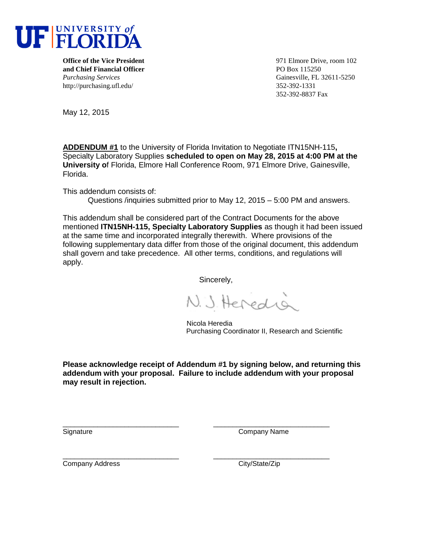

**and Chief Financial Officer** PO Box 115250 *Purchasing Services* Gainesville, FL 32611-5250 http://purchasing.ufl.edu/ 352-392-1331

**Office of the Vice President** 102 352-392-8837 Fax

May 12, 2015

**ADDENDUM #1** to the University of Florida Invitation to Negotiate ITN15NH-115**,**  Specialty Laboratory Supplies **scheduled to open on May 28, 2015 at 4:00 PM at the University o**f Florida, Elmore Hall Conference Room, 971 Elmore Drive, Gainesville, Florida.

This addendum consists of:

Questions /inquiries submitted prior to May 12, 2015 – 5:00 PM and answers.

This addendum shall be considered part of the Contract Documents for the above mentioned **ITN15NH-115, Specialty Laboratory Supplies** as though it had been issued at the same time and incorporated integrally therewith. Where provisions of the following supplementary data differ from those of the original document, this addendum shall govern and take precedence. All other terms, conditions, and regulations will apply.

Sincerely,

N. J. Heredia

 Nicola Heredia Purchasing Coordinator II, Research and Scientific

**Please acknowledge receipt of Addendum #1 by signing below, and returning this addendum with your proposal. Failure to include addendum with your proposal may result in rejection.**

\_\_\_\_\_\_\_\_\_\_\_\_\_\_\_\_\_\_\_\_\_\_\_\_\_\_\_\_\_\_ \_\_\_\_\_\_\_\_\_\_\_\_\_\_\_\_\_\_\_\_\_\_\_\_\_\_\_\_\_\_

Signature Company Name

Company Address Company Address City/State/Zip

\_\_\_\_\_\_\_\_\_\_\_\_\_\_\_\_\_\_\_\_\_\_\_\_\_\_\_\_\_\_ \_\_\_\_\_\_\_\_\_\_\_\_\_\_\_\_\_\_\_\_\_\_\_\_\_\_\_\_\_\_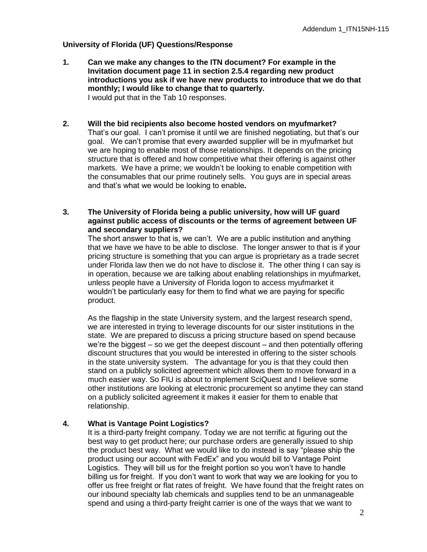# **University of Florida (UF) Questions/Response**

- **1. Can we make any changes to the ITN document? For example in the Invitation document page 11 in section 2.5.4 regarding new product introductions you ask if we have new products to introduce that we do that monthly; I would like to change that to quarterly.** I would put that in the Tab 10 responses.
- **2. Will the bid recipients also become hosted vendors on myufmarket?** That's our goal. I can't promise it until we are finished negotiating, but that's our goal. We can't promise that every awarded supplier will be in myufmarket but we are hoping to enable most of those relationships. It depends on the pricing structure that is offered and how competitive what their offering is against other markets. We have a prime; we wouldn't be looking to enable competition with the consumables that our prime routinely sells. You guys are in special areas and that's what we would be looking to enable**.**
- **3. The University of Florida being a public university, how will UF guard against public access of discounts or the terms of agreement between UF and secondary suppliers?**

The short answer to that is, we can't. We are a public institution and anything that we have we have to be able to disclose. The longer answer to that is if your pricing structure is something that you can argue is proprietary as a trade secret under Florida law then we do not have to disclose it. The other thing I can say is in operation, because we are talking about enabling relationships in myufmarket, unless people have a University of Florida logon to access myufmarket it wouldn't be particularly easy for them to find what we are paying for specific product.

As the flagship in the state University system, and the largest research spend, we are interested in trying to leverage discounts for our sister institutions in the state. We are prepared to discuss a pricing structure based on spend because we're the biggest – so we get the deepest discount – and then potentially offering discount structures that you would be interested in offering to the sister schools in the state university system. The advantage for you is that they could then stand on a publicly solicited agreement which allows them to move forward in a much easier way. So FIU is about to implement SciQuest and I believe some other institutions are looking at electronic procurement so anytime they can stand on a publicly solicited agreement it makes it easier for them to enable that relationship.

#### **4. What is Vantage Point Logistics?**

It is a third-party freight company. Today we are not terrific at figuring out the best way to get product here; our purchase orders are generally issued to ship the product best way. What we would like to do instead is say "please ship the product using our account with FedEx" and you would bill to Vantage Point Logistics. They will bill us for the freight portion so you won't have to handle billing us for freight. If you don't want to work that way we are looking for you to offer us free freight or flat rates of freight. We have found that the freight rates on our inbound specialty lab chemicals and supplies tend to be an unmanageable spend and using a third-party freight carrier is one of the ways that we want to